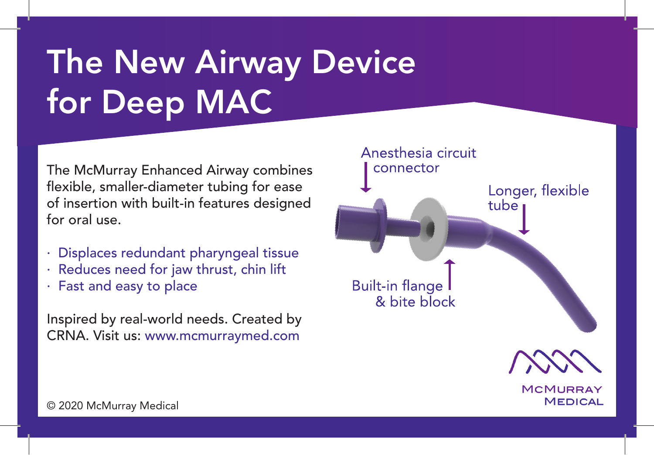## The New Airway Device for Deep MAC

The McMurray Enhanced Airway combines flexible, smaller-diameter tubing for ease of insertion with built-in features designed for oral use.

- · Displaces redundant pharyngeal tissue
- · Reduces need for jaw thrust, chin lift
- · Fast and easy to place

Inspired by real-world needs. Created by CRNA. Visit us: www.mcmurraymed.com